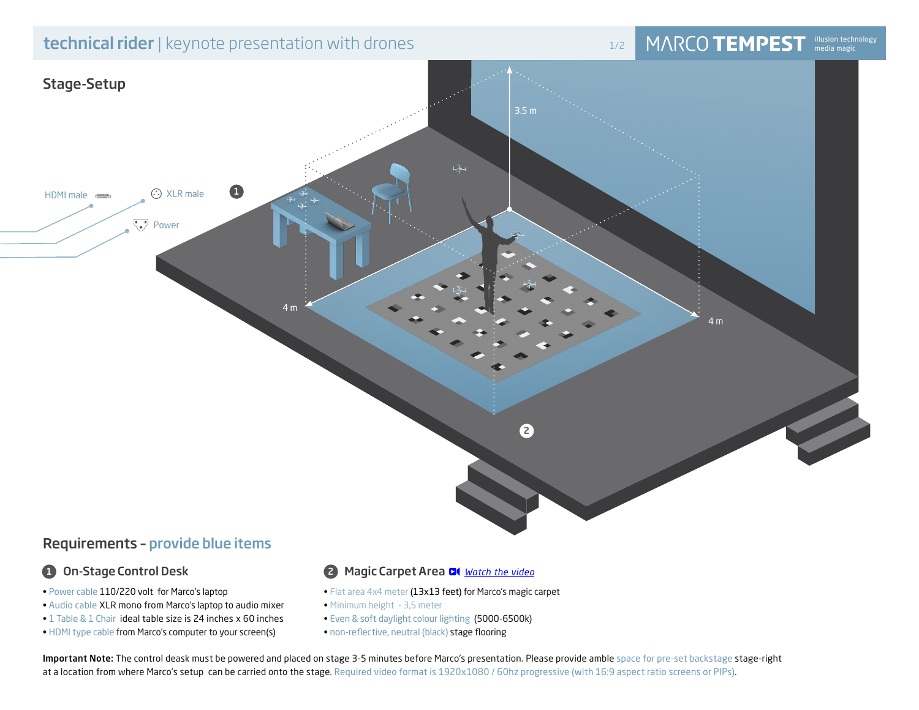# **technical rider** | keynote presentation with drones 1/2 **in the U.S. in the MARCO TEMPEST**

# illusion technology<br>media magic



# Requirements – provide blue items

# **1** On-Stage Control Desk

- Power cable 110/220 volt for Marco's laptop
- Audio cable XLR mono from Marco's laptop to audio mixer
- 1 Table & 1 Chair ideal table size is 24 inches x 60 inches
- HDMI type cable from Marco's computer to your screen(s)

# 2 Magic Carpet Area *Watch the video*

- Flat area 4x4 meter (13x13 feet) for Marco's magic carpet
- Minimum height 3,5 meter
- Even & soft daylight colour lighting (5000-6500k)
- non-reflective, neutral (black) stage flooring

Important Note: The control deask must be powered and placed on stage 3-5 minutes before Marco's presentation. Please provide amble space for pre-set backstage stage-right at a location from where Marco's setup can be carried onto the stage. Required video format is 1920x1080 / 60hz progressive (with 16:9 aspect ratio screens or PIPs).